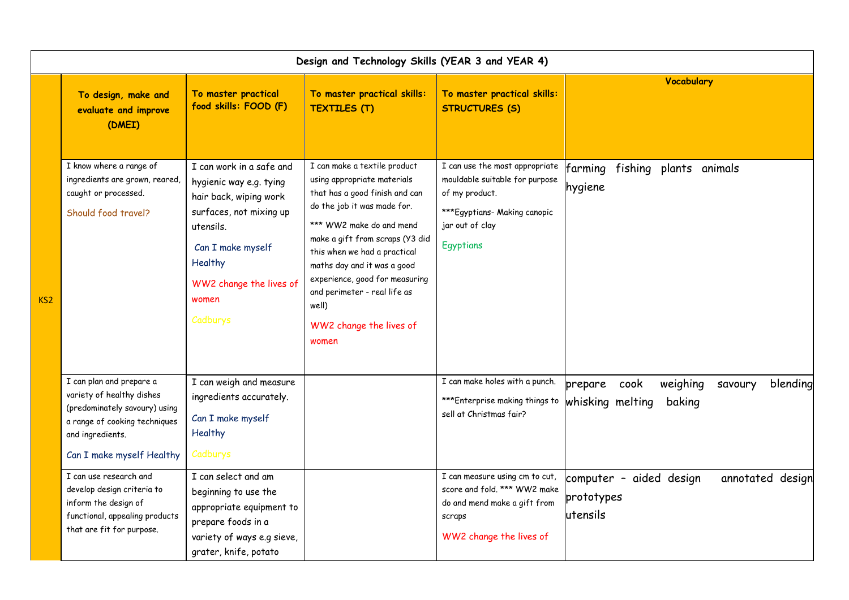|                 |                                                                                                                                                                          |                                                                                                                                                                                                       | Design and Technology Skills (YEAR 3 and YEAR 4)                                                                                                                                                                                                                                                                                                                          |                                                                                                                                                    |                                                                                  |
|-----------------|--------------------------------------------------------------------------------------------------------------------------------------------------------------------------|-------------------------------------------------------------------------------------------------------------------------------------------------------------------------------------------------------|---------------------------------------------------------------------------------------------------------------------------------------------------------------------------------------------------------------------------------------------------------------------------------------------------------------------------------------------------------------------------|----------------------------------------------------------------------------------------------------------------------------------------------------|----------------------------------------------------------------------------------|
|                 | To design, make and<br>evaluate and improve<br>(DMEI)                                                                                                                    | To master practical<br>food skills: FOOD (F)                                                                                                                                                          | To master practical skills:<br><b>TEXTILES (T)</b>                                                                                                                                                                                                                                                                                                                        | To master practical skills:<br><b>STRUCTURES (S)</b>                                                                                               | Vocabulary                                                                       |
| KS <sub>2</sub> | I know where a range of<br>ingredients are grown, reared,<br>caught or processed.<br>Should food travel?                                                                 | I can work in a safe and<br>hygienic way e.g. tying<br>hair back, wiping work<br>surfaces, not mixing up<br>utensils.<br>Can I make myself<br>Healthy<br>WW2 change the lives of<br>women<br>Cadburys | I can make a textile product<br>using appropriate materials<br>that has a good finish and can<br>do the job it was made for.<br>*** WW2 make do and mend<br>make a gift from scraps (Y3 did<br>this when we had a practical<br>maths day and it was a good<br>experience, good for measuring<br>and perimeter - real life as<br>well)<br>WW2 change the lives of<br>women | I can use the most appropriate<br>mouldable suitable for purpose<br>of my product.<br>***Egyptians- Making canopic<br>jar out of clay<br>Egyptians | farming<br>fishing plants animals<br>hygiene                                     |
|                 | I can plan and prepare a<br>variety of healthy dishes<br>(predominately savoury) using<br>a range of cooking techniques<br>and ingredients.<br>Can I make myself Healthy | I can weigh and measure<br>ingredients accurately.<br>Can I make myself<br><b>Healthy</b><br>Cadburys                                                                                                 |                                                                                                                                                                                                                                                                                                                                                                           | I can make holes with a punch.<br>*** Enterprise making things to<br>sell at Christmas fair?                                                       | weighing<br>cook<br>blending<br>prepare<br>savoury<br>whisking melting<br>baking |
|                 | I can use research and<br>develop design criteria to<br>inform the design of<br>functional, appealing products<br>that are fit for purpose.                              | I can select and am<br>beginning to use the<br>appropriate equipment to<br>prepare foods in a<br>variety of ways e.g sieve,<br>grater, knife, potato                                                  |                                                                                                                                                                                                                                                                                                                                                                           | I can measure using cm to cut,<br>score and fold. *** WW2 make<br>do and mend make a gift from<br>scraps<br>WW2 change the lives of                | computer - aided design<br>annotated design<br>prototypes<br>utensils            |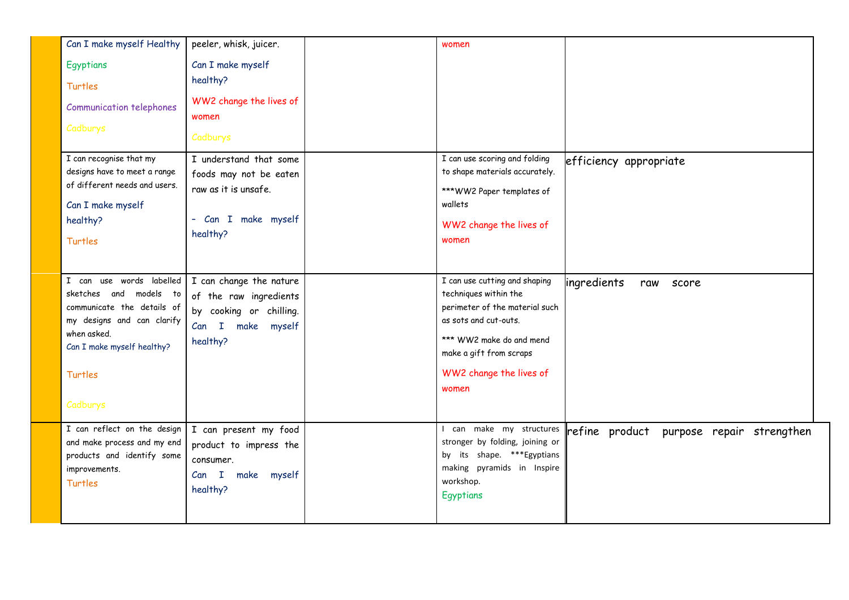| Can I make myself Healthy                                                                                                                                                                                   | peeler, whisk, juicer.                                                                                                                                                                       | women                                                                                                                                                                                                        |                                             |
|-------------------------------------------------------------------------------------------------------------------------------------------------------------------------------------------------------------|----------------------------------------------------------------------------------------------------------------------------------------------------------------------------------------------|--------------------------------------------------------------------------------------------------------------------------------------------------------------------------------------------------------------|---------------------------------------------|
| Egyptians<br>Turtles<br><b>Communication telephones</b><br>Cadburys<br>I can recognise that my<br>designs have to meet a range<br>of different needs and users.<br>Can I make myself<br>healthy?<br>Turtles | Can I make myself<br>healthy?<br>WW2 change the lives of<br>women<br>Cadburys<br>I understand that some<br>foods may not be eaten<br>raw as it is unsafe.<br>- Can I make myself<br>healthy? | I can use scoring and folding<br>to shape materials accurately.<br>***WW2 Paper templates of<br>wallets<br>WW2 change the lives of<br>women                                                                  | efficiency appropriate                      |
| I can use words labelled<br>sketches and models to<br>communicate the details of<br>my designs and can clarify<br>when asked.<br>Can I make myself healthy?<br><b>Turtles</b><br>Cadburys                   | I can change the nature<br>of the raw ingredients<br>by cooking or chilling.<br>Can I<br>make<br>myself<br>healthy?                                                                          | I can use cutting and shaping<br>techniques within the<br>perimeter of the material such<br>as sots and cut-outs.<br>*** WW2 make do and mend<br>make a gift from scraps<br>WW2 change the lives of<br>women | ingredients<br>score<br>raw                 |
| I can reflect on the design<br>and make process and my end<br>products and identify some<br>improvements.<br>Turtles                                                                                        | I can present my food<br>product to impress the<br>consumer.<br>Can I<br>make<br>myself<br>healthy?                                                                                          | can make my structures<br>stronger by folding, joining or<br>by its shape. ***Egyptians<br>making pyramids in Inspire<br>workshop.<br>Egyptians                                                              | refine product<br>purpose repair strengthen |